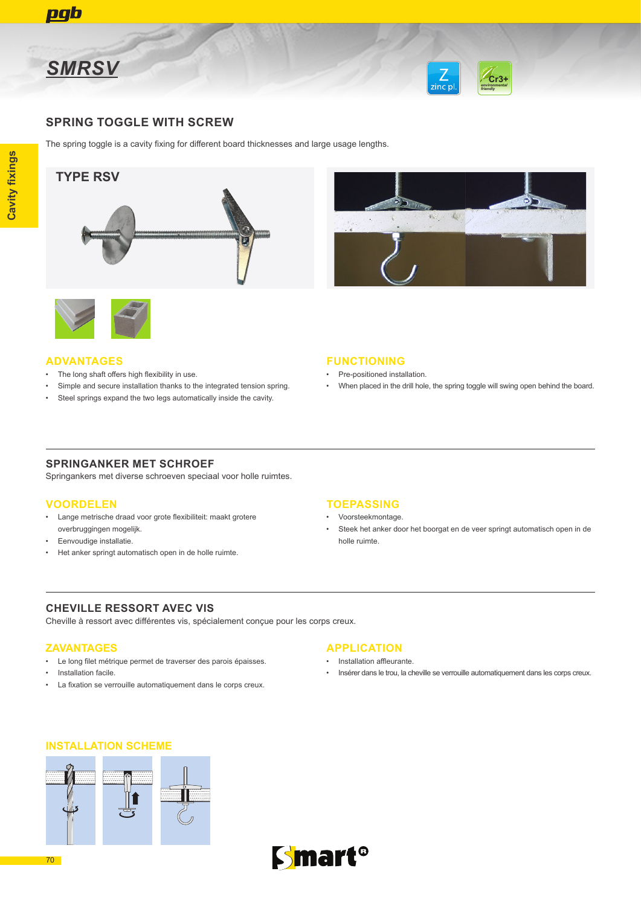



### **SPRING TOGGLE WITH SCREW**

The spring toggle is a cavity fixing for different board thicknesses and large usage lengths.

## **TYPE RSV**

**Cavity fixings**

**Cavity fixings** 







#### **ADVANTAGES**

- The long shaft offers high flexibility in use.
- Simple and secure installation thanks to the integrated tension spring.
- Steel springs expand the two legs automatically inside the cavity.

#### **FUNCTIONING**

- Pre-positioned installation.
- When placed in the drill hole, the spring toggle will swing open behind the board.

### **SPRINGANKER MET SCHROEF**

Springankers met diverse schroeven speciaal voor holle ruimtes.

### **VOORDELEN**

- Lange metrische draad voor grote flexibiliteit: maakt grotere overbruggingen mogelijk.
- Eenvoudige installatie.
- Het anker springt automatisch open in de holle ruimte.

### **TOEPASSING**

- Voorsteekmontage.
- Steek het anker door het boorgat en de veer springt automatisch open in de holle ruimte.

### **CHEVILLE RESSORT AVEC VIS**

Cheville à ressort avec différentes vis, spécialement conçue pour les corps creux.

### **ZAVANTAGES**

- Le long filet métrique permet de traverser des parois épaisses.
- Installation facile.
- La fixation se verrouille automatiquement dans le corps creux.

### **APPLICATION**

- Installation affleurante.
- Insérer dans le trou, la cheville se verrouille automatiquement dans les corps creux.

### **INSTALLATION SCHEME**





70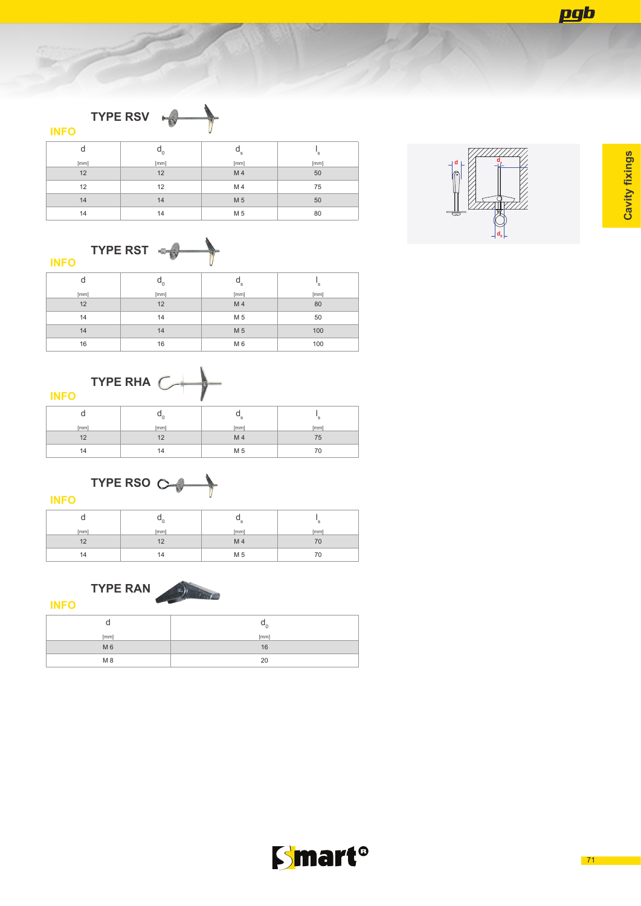pgb







| - -<br><b>INFO</b> | __ _ _ _                             |                           |      |
|--------------------|--------------------------------------|---------------------------|------|
| d                  | $\mathsf{u}_{\scriptscriptstyle{0}}$ | $\mathsf{a}_{\mathsf{s}}$ | `s   |
| [mm]               | [mm]                                 | [mm]                      | [mm] |
| 12                 | 12                                   | M 4                       | 80   |
| 14                 | 14                                   | M 5                       | 50   |
| 14                 | 14                                   | M 5                       | 100  |
| 16                 | 16                                   | M <sub>6</sub>            | 100  |



| ----- |      |                       |      |
|-------|------|-----------------------|------|
|       | ◡    | $\mathbf{u}_\text{s}$ |      |
| [mm]  | [mm] | [mm]                  | [mm] |
| 12    | 12   | M 4                   | 75   |
| 14    | 14   | M 5                   | 70   |



**INFO**

**INFO**

|      | υ    | ◡<br>۰s |      |
|------|------|---------|------|
| [mm] | [mm] | [mm]    | [mm] |
| 12   | 12   | M 4     | 7 U  |
| 14   | ı4   | M 5     |      |





| [mm]           | [mm] |
|----------------|------|
| M <sub>6</sub> | 16   |
| M 8            | 20   |